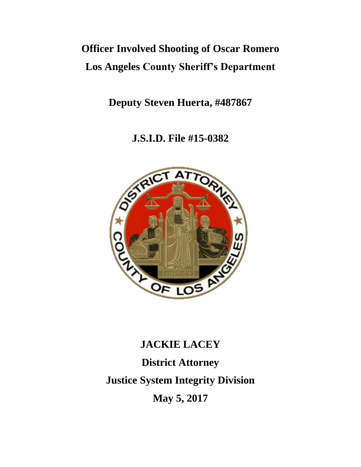# **Officer Involved Shooting of Oscar Romero Los Angeles County Sheriff's Department**

**Deputy Steven Huerta, #487867**

**J.S.I.D. File #15-0382**



# **JACKIE LACEY District Attorney Justice System Integrity Division May 5, 2017**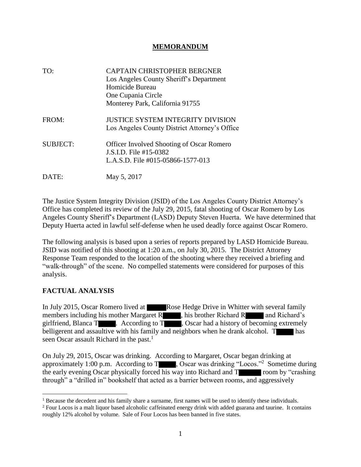#### **MEMORANDUM**

| TO:             | <b>CAPTAIN CHRISTOPHER BERGNER</b><br>Los Angeles County Sheriff's Department<br>Homicide Bureau<br>One Cupania Circle<br>Monterey Park, California 91755 |
|-----------------|-----------------------------------------------------------------------------------------------------------------------------------------------------------|
| FROM:           | <b>JUSTICE SYSTEM INTEGRITY DIVISION</b><br>Los Angeles County District Attorney's Office                                                                 |
| <b>SUBJECT:</b> | <b>Officer Involved Shooting of Oscar Romero</b><br>J.S.I.D. File #15-0382<br>L.A.S.D. File #015-05866-1577-013                                           |
| DATE:           | May 5, 2017                                                                                                                                               |

The Justice System Integrity Division (JSID) of the Los Angeles County District Attorney's Office has completed its review of the July 29, 2015, fatal shooting of Oscar Romero by Los Angeles County Sheriff's Department (LASD) Deputy Steven Huerta. We have determined that Deputy Huerta acted in lawful self-defense when he used deadly force against Oscar Romero.

The following analysis is based upon a series of reports prepared by LASD Homicide Bureau. JSID was notified of this shooting at 1:20 a.m., on July 30, 2015. The District Attorney Response Team responded to the location of the shooting where they received a briefing and "walk-through" of the scene. No compelled statements were considered for purposes of this analysis.

#### **FACTUAL ANALYSIS**

In July 2015, Oscar Romero lived at **Rose Hedge Drive in Whitter with several family** members including his mother Margaret R , his brother Richard R and Richard's girlfriend, Blanca  $T \rightarrow$  . According to  $T \rightarrow$  , Oscar had a history of becoming extremely belligerent and assaultive with his family and neighbors when he drank alcohol. T seen Oscar assault Richard in the past. $<sup>1</sup>$ </sup>

On July 29, 2015, Oscar was drinking. According to Margaret, Oscar began drinking at approximately 1:00 p.m. According to  $T_{\text{max}}$ , Oscar was drinking "Locos."<sup>2</sup> Sometime during the early evening Oscar physically forced his way into Richard and  $\overline{T}$  room by "crashing" through" a "drilled in" bookshelf that acted as a barrier between rooms, and aggressively

<sup>&</sup>lt;sup>1</sup> Because the decedent and his family share a surname, first names will be used to identify these individuals.

<sup>&</sup>lt;sup>2</sup> Four Locos is a malt liquor based alcoholic caffeinated energy drink with added guarana and taurine. It contains roughly 12% alcohol by volume. Sale of Four Locos has been banned in five states.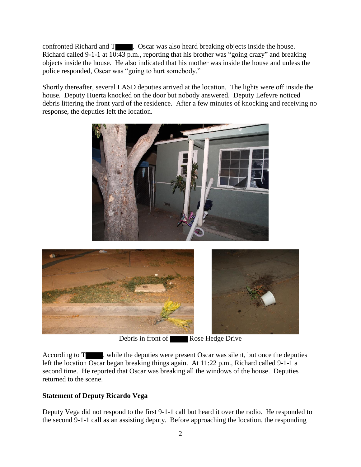confronted Richard and T . Oscar was also heard breaking objects inside the house. Richard called 9-1-1 at  $10:43$  p.m., reporting that his brother was "going crazy" and breaking objects inside the house. He also indicated that his mother was inside the house and unless the police responded, Oscar was "going to hurt somebody."

Shortly thereafter, several LASD deputies arrived at the location. The lights were off inside the house. Deputy Huerta knocked on the door but nobody answered. Deputy Lefevre noticed debris littering the front yard of the residence. After a few minutes of knocking and receiving no response, the deputies left the location.





Debris in front of Rose Hedge Drive

According to T , while the deputies were present Oscar was silent, but once the deputies left the location Oscar began breaking things again. At 11:22 p.m., Richard called 9-1-1 a second time. He reported that Oscar was breaking all the windows of the house. Deputies returned to the scene.

#### **Statement of Deputy Ricardo Vega**

Deputy Vega did not respond to the first 9-1-1 call but heard it over the radio. He responded to the second 9-1-1 call as an assisting deputy. Before approaching the location, the responding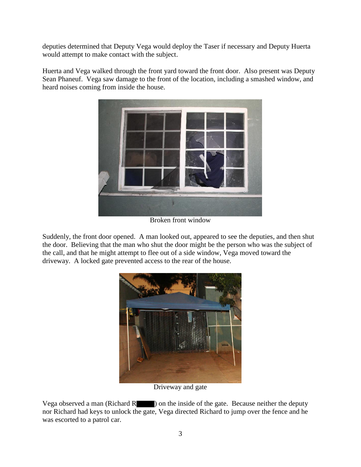deputies determined that Deputy Vega would deploy the Taser if necessary and Deputy Huerta would attempt to make contact with the subject.

Huerta and Vega walked through the front yard toward the front door. Also present was Deputy Sean Phaneuf. Vega saw damage to the front of the location, including a smashed window, and heard noises coming from inside the house.



Broken front window

Suddenly, the front door opened. A man looked out, appeared to see the deputies, and then shut the door. Believing that the man who shut the door might be the person who was the subject of the call, and that he might attempt to flee out of a side window, Vega moved toward the driveway. A locked gate prevented access to the rear of the house.



Driveway and gate

Vega observed a man (Richard R $\blacksquare$ ) on the inside of the gate. Because neither the deputy nor Richard had keys to unlock the gate, Vega directed Richard to jump over the fence and he was escorted to a patrol car.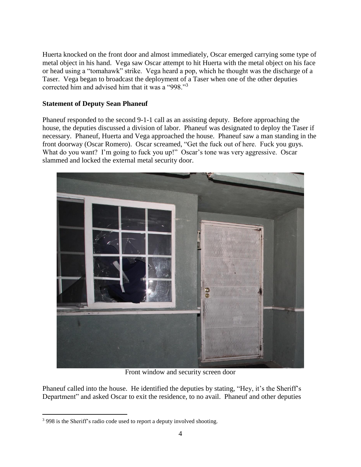Huerta knocked on the front door and almost immediately, Oscar emerged carrying some type of metal object in his hand. Vega saw Oscar attempt to hit Huerta with the metal object on his face or head using a "tomahawk" strike. Vega heard a pop, which he thought was the discharge of a Taser. Vega began to broadcast the deployment of a Taser when one of the other deputies corrected him and advised him that it was a "998."<sup>3</sup>

#### **Statement of Deputy Sean Phaneuf**

Phaneuf responded to the second 9-1-1 call as an assisting deputy. Before approaching the house, the deputies discussed a division of labor. Phaneuf was designated to deploy the Taser if necessary. Phaneuf, Huerta and Vega approached the house. Phaneuf saw a man standing in the front doorway (Oscar Romero). Oscar screamed, "Get the fuck out of here. Fuck you guys. What do you want? I'm going to fuck you up!" Oscar's tone was very aggressive. Oscar slammed and locked the external metal security door.



Front window and security screen door

Phaneuf called into the house. He identified the deputies by stating, "Hey, it's the Sheriff's Department" and asked Oscar to exit the residence, to no avail. Phaneuf and other deputies

 $\overline{a}$ 

<sup>&</sup>lt;sup>3</sup> 998 is the Sheriff's radio code used to report a deputy involved shooting.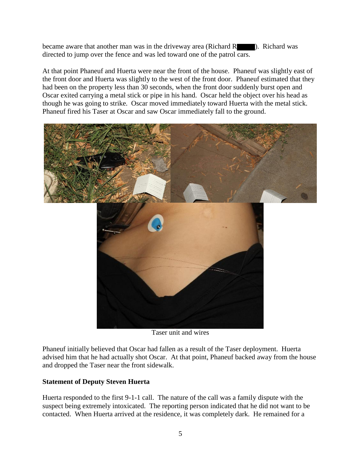became aware that another man was in the driveway area (Richard R ). Richard was directed to jump over the fence and was led toward one of the patrol cars.

At that point Phaneuf and Huerta were near the front of the house. Phaneuf was slightly east of the front door and Huerta was slightly to the west of the front door. Phaneuf estimated that they had been on the property less than 30 seconds, when the front door suddenly burst open and Oscar exited carrying a metal stick or pipe in his hand. Oscar held the object over his head as though he was going to strike. Oscar moved immediately toward Huerta with the metal stick. Phaneuf fired his Taser at Oscar and saw Oscar immediately fall to the ground.



Taser unit and wires

Phaneuf initially believed that Oscar had fallen as a result of the Taser deployment. Huerta advised him that he had actually shot Oscar. At that point, Phaneuf backed away from the house and dropped the Taser near the front sidewalk.

#### **Statement of Deputy Steven Huerta**

Huerta responded to the first 9-1-1 call. The nature of the call was a family dispute with the suspect being extremely intoxicated. The reporting person indicated that he did not want to be contacted. When Huerta arrived at the residence, it was completely dark. He remained for a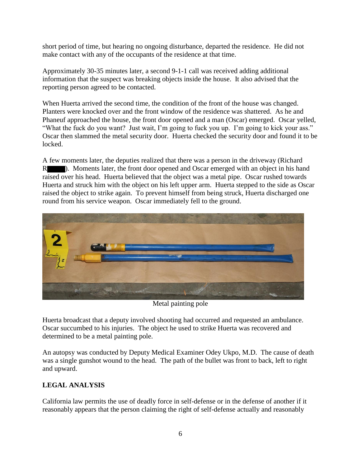short period of time, but hearing no ongoing disturbance, departed the residence. He did not make contact with any of the occupants of the residence at that time.

Approximately 30-35 minutes later, a second 9-1-1 call was received adding additional information that the suspect was breaking objects inside the house. It also advised that the reporting person agreed to be contacted.

When Huerta arrived the second time, the condition of the front of the house was changed. Planters were knocked over and the front window of the residence was shattered. As he and Phaneuf approached the house, the front door opened and a man (Oscar) emerged. Oscar yelled, "What the fuck do you want? Just wait, I'm going to fuck you up. I'm going to kick your ass." Oscar then slammed the metal security door. Huerta checked the security door and found it to be locked.

A few moments later, the deputies realized that there was a person in the driveway (Richard R ). Moments later, the front door opened and Oscar emerged with an object in his hand raised over his head. Huerta believed that the object was a metal pipe. Oscar rushed towards Huerta and struck him with the object on his left upper arm. Huerta stepped to the side as Oscar raised the object to strike again. To prevent himself from being struck, Huerta discharged one round from his service weapon. Oscar immediately fell to the ground.



Metal painting pole

Huerta broadcast that a deputy involved shooting had occurred and requested an ambulance. Oscar succumbed to his injuries. The object he used to strike Huerta was recovered and determined to be a metal painting pole.

An autopsy was conducted by Deputy Medical Examiner Odey Ukpo, M.D. The cause of death was a single gunshot wound to the head. The path of the bullet was front to back, left to right and upward.

## **LEGAL ANALYSIS**

California law permits the use of deadly force in self-defense or in the defense of another if it reasonably appears that the person claiming the right of self-defense actually and reasonably